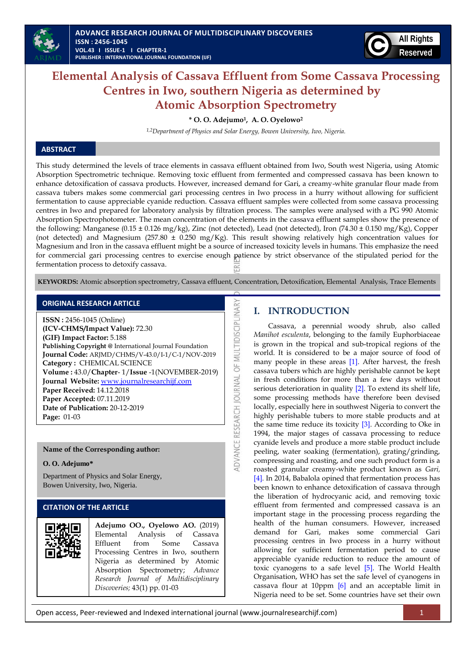

# **Elemental Analysis of Cassava Effluent from Some Cassava Processing Centres in Iwo, southern Nigeria as determined by Atomic Absorption Spectrometry**

**\* O. O. Adejumo1, A. O. Oyelowo<sup>2</sup>**

*1,2Department of Physics and Solar Energy, Bowen University, Iwo, Nigeria.*

### **ABSTRACT**

This study determined the levels of trace elements in cassava effluent obtained from Iwo, South west Nigeria, using Atomic Absorption Spectrometric technique. Removing toxic effluent from fermented and compressed cassava has been known to enhance detoxification of cassava products. However, increased demand for Gari, a creamy-white granular flour made from cassava tubers makes some commercial gari processing centres in Iwo process in a hurry without allowing for sufficient fermentation to cause appreciable cyanide reduction. Cassava effluent samples were collected from some cassava processing centres in Iwo and prepared for laboratory analysis by filtration process. The samples were analysed with a PG 990 Atomic Absorption Spectrophotometer. The mean concentration of the elements in the cassava effluent samples show the presence of the following: Manganese (0.15 ± 0.126 mg/kg), Zinc (not detected), Lead (not detected), Iron (74.30 ± 0.150 mg/Kg), Copper (not detected) and Magnesium (257.80 ± 0.250 mg/Kg). This result showing relatively high concentration values for Magnesium and Iron in the cassava effluent might be a source of increased toxicity levels in humans. This emphasize the need for commercial gari processing centres to exercise enough patience by strict observance of the stipulated period for the fermentation process to detoxify cassava.

**KEYWORDS:** Atomic absorption spectrometry, Cassava effluent, Concentration, Detoxification, Elemental Analysis, Trace Elements

DVANCE RESEARCH JOURNAL OF MULTIDISCIPLINARY

### **ORIGINAL RESEARCH ARTICLE**

**ISSN :** 2456-1045 (Online) **(ICV-CHMS/Impact Value):** 72.30 **(GIF) Impact Factor:** 5.188 **Publishing Copyright @** International Journal Foundation **Journal Code:** ARJMD/CHMS/V-43.0/I-1/C-1/NOV-2019 **Category :** CHEMICAL SCIENCE **Volume :** 43.0/**Chapter**- 1/**Issue** -1(NOVEMBER-2019) **Journal Website:** [www.journalresearchijf.com](http://www.journalresearchijf.com/) **Paper Received:** 14.12.2018 **Paper Accepted:** 07.11.2019 **Date of Publication:** 20-12-2019 **Page:** 01-03

### **Name of the Corresponding author:**

#### **O. O. Adejumo\***

Department of Physics and Solar Energy, Bowen University, Iwo, Nigeria.

### **CITATION OF THE ARTICLE**

| Adejumo OO., Oyelowo AO. (2019)<br>Elemental Analysis of Cassava<br>Effluent from Some Cassava<br>Processing Centres in Iwo, southern<br>Nigeria as determined by Atomic<br>Absorption Spectrometry; Advance<br>Research Journal of Multidisciplinary |  |  |  |
|-------------------------------------------------------------------------------------------------------------------------------------------------------------------------------------------------------------------------------------------------------|--|--|--|
| Discoveries; 43(1) pp. 01-03                                                                                                                                                                                                                          |  |  |  |

### **I. INTRODUCTION**

Cassava, a perennial woody shrub, also called *Manihot esculenta*, belonging to the family Euphorbiaceae is grown in the tropical and sub-tropical regions of the world. It is considered to be a major source of food of many people in these areas [\[1\].](#page-2-0) After harvest, the fresh cassava tubers which are highly perishable cannot be kept in fresh conditions for more than a few days without serious deterioration in quality [\[2\].](#page-2-1) To extend its shelf life, some processing methods have therefore been devised locally, especially here in southwest Nigeria to convert the highly perishable tubers to more stable products and at the same time reduce its toxicity [\[3\].](#page-2-2) According to Oke in 1994, the major stages of cassava processing to reduce cyanide levels and produce a more stable product include peeling, water soaking (fermentation), grating/grinding, compressing and roasting, and one such product form is a roasted granular creamy-white product known as *Gari,* [\[4\]](#page-2-3)*.* In 2014, Babalola opined that fermentation process has been known to enhance detoxification of cassava through the liberation of hydrocyanic acid, and removing toxic effluent from fermented and compressed cassava is an important stage in the processing process regarding the health of the human consumers. However, increased demand for Gari, makes some commercial Gari processing centres in Iwo process in a hurry without allowing for sufficient fermentation period to cause appreciable cyanide reduction to reduce the amount of toxic cyanogens to a safe level [\[5\].](#page-2-4) The World Health Organisation, WHO has set the safe level of cyanogens in cassava flour at 10ppm  $[6]$  and an acceptable limit in Nigeria need to be set. Some countries have set their own

Open access, Peer-reviewed and Indexed international journal (www.journalresearchijf.com) 1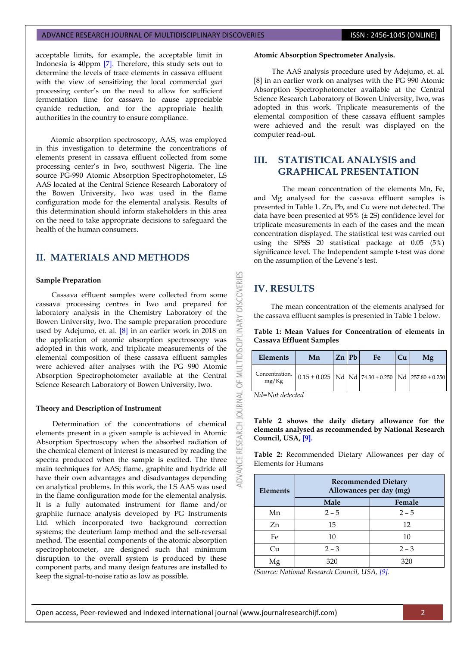#### ADVANCE RESEARCH JOURNAL OF MULTIDISCIPLINARY DISCOVERIES **ISSN : 2456-1045 (ONLINE)**

acceptable limits, for example, the acceptable limit in Indonesia is 40ppm [\[7\].](#page-2-6) Therefore, this study sets out to determine the levels of trace elements in cassava effluent with the view of sensitizing the local commercial *gari* processing center's on the need to allow for sufficient fermentation time for cassava to cause appreciable cyanide reduction, and for the appropriate health authorities in the country to ensure compliance.

Atomic absorption spectroscopy, AAS, was employed in this investigation to determine the concentrations of elements present in cassava effluent collected from some processing center's in Iwo, southwest Nigeria. The line source PG-990 Atomic Absorption Spectrophotometer, LS AAS located at the Central Science Research Laboratory of the Bowen University, Iwo was used in the flame configuration mode for the elemental analysis. Results of this determination should inform stakeholders in this area on the need to take appropriate decisions to safeguard the health of the human consumers.

# **II. MATERIALS AND METHODS**

#### **Sample Preparation**

Cassava effluent samples were collected from some cassava processing centres in Iwo and prepared for laboratory analysis in the Chemistry Laboratory of the Bowen University, Iwo. The sample preparation procedure used by Adejumo, et. al. [\[8\]](#page-2-7) in an earlier work in 2018 on the application of atomic absorption spectroscopy was adopted in this work, and triplicate measurements of the elemental composition of these cassava effluent samples were achieved after analyses with the PG 990 Atomic Absorption Spectrophotometer available at the Central Science Research Laboratory of Bowen University, Iwo.

#### **Theory and Description of Instrument**

Determination of the concentrations of chemical elements present in a given sample is achieved in Atomic Absorption Spectroscopy when the absorbed radiation of the chemical element of interest is measured by reading the spectra produced when the sample is excited. The three main techniques for AAS; flame, graphite and hydride all have their own advantages and disadvantages depending on analytical problems. In this work, the LS AAS was used in the flame configuration mode for the elemental analysis. It is a fully automated instrument for flame and/or graphite furnace analysis developed by PG Instruments Ltd. which incorporated two background correction systems; the deuterium lamp method and the self-reversal method. The essential components of the atomic absorption spectrophotometer, are designed such that minimum disruption to the overall system is produced by these component parts, and many design features are installed to keep the signal-to-noise ratio as low as possible.

#### **Atomic Absorption Spectrometer Analysis.**

The AAS analysis procedure used by Adejumo, et. al. [\[8\]](#page-2-7) in an earlier work on analyses with the PG 990 Atomic Absorption Spectrophotometer available at the Central Science Research Laboratory of Bowen University, Iwo, was adopted in this work. Triplicate measurements of the elemental composition of these cassava effluent samples were achieved and the result was displayed on the computer read-out.

# **III. STATISTICAL ANALYSIS and GRAPHICAL PRESENTATION**

The mean concentration of the elements Mn, Fe, and Mg analysed for the cassava effluent samples is presented in Table 1. Zn, Pb, and Cu were not detected. The data have been presented at 95% (± 2S) confidence level for triplicate measurements in each of the cases and the mean concentration displayed. The statistical test was carried out using the SPSS 20 statistical package at 0.05 (5%) significance level. The Independent sample t-test was done on the assumption of the Levene's test.

# **IV. RESULTS**

53

**DISCOVERI** 

**INARY** 

LTIDISCIPL

ş 5F **JRNAL** š

**RESEARCH** 

ADV/

The mean concentration of the elements analysed for the cassava effluent samples is presented in Table 1 below.

**Table 1: Mean Values for Concentration of elements in Cassava Effluent Samples**

| Elements                | Mn                                                     | $Zn$   Pb | Fe | Cu | Mg |
|-------------------------|--------------------------------------------------------|-----------|----|----|----|
| Concentration,<br>mg/Kg | $0.15 \pm 0.025$ Nd Nd 74.30 ± 0.250 Nd 257.80 ± 0.250 |           |    |    |    |

*Nd=Not detected*

#### **Table 2 shows the daily dietary allowance for the elements analysed as recommended by National Research Council, USA, [\[9\].](#page-2-8)**

**Table 2:** Recommended Dietary Allowances per day of Elements for Humans

| <b>Elements</b> | <b>Recommended Dietary</b><br>Allowances per day (mg) |         |  |  |
|-----------------|-------------------------------------------------------|---------|--|--|
|                 | Male                                                  | Female  |  |  |
| Mn              | $2 - 5$                                               | $2 - 5$ |  |  |
| Zn              | 15                                                    | 12      |  |  |
| Fe              | 10                                                    | 10      |  |  |
| Cu              | $2 - 3$                                               | $2 - 3$ |  |  |
| Μg              | 320                                                   | 320     |  |  |

*(Source: National Research Council, USA[, \[9\].](#page-2-8)*